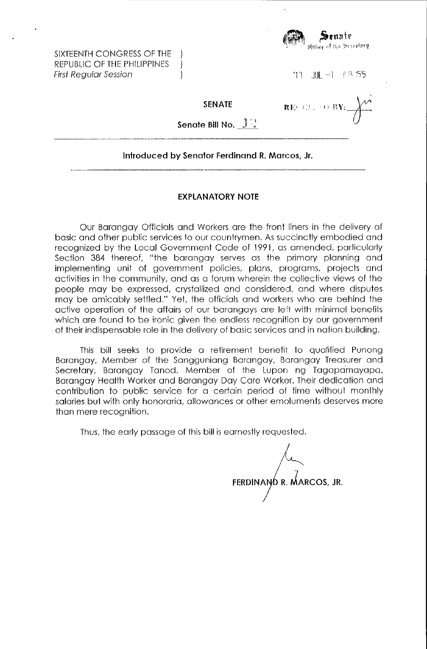SIXTEENTH CONGRESS OF THE REPUBLIC OF THE PHILIPPINES First Regular Session



'13 .III. -1 *FR.55* 

SENATE

 $\overline{)}$  $\mathbf{I}$ 

 $\mathbf{RE}(\mathcal{G})$  , so  $\mathbf{BY}_1$ 

Senate Bill No.  $1\%$ 

## Introduced by Senator Ferdinand R. Marcos, Jr.

## EXPLANATORY NOTE

Our Barangay Officials and Workers are the front liners in the delivery of basic and other public services to our countrymen. As succinctly embodied and recognized by the Local Government Code of 1991, as amended, particularly Section 384 thereof, "the barangay serves as the primary planning and implementing unit of government policies, plans, programs, projects and activities in the community, and as a forum wherein the collective views of the people may be expressed, crystallized and considered, and where disputes may be amicably settled." Yet, the officials and workers who are behind the active operation of the affairs of our barangays are left with minimal benefits which are found to be ironic given the endless recognition by our government of their indispensable role in the delivery of basic services and in nation building.

This bill seeks to provide a retirement benefit to qualified Punong Barangay, Member of the Sangguniang Barangay, Barangay Treasurer and Secretary, Barangay Tanod, Member of the Lupon ng Tagapamayapa, Barangay Health Worker and Barangay Day Care Worker. Their dedication and contribution to public service for a certain period ot time without monthly salaries but with only honoraria, allowances or other emoluments deserves more than mere recognition.

Thus, the early passage of this bill is earnestly requested.

FERDINA I  $4$ R. MARCOS, JR.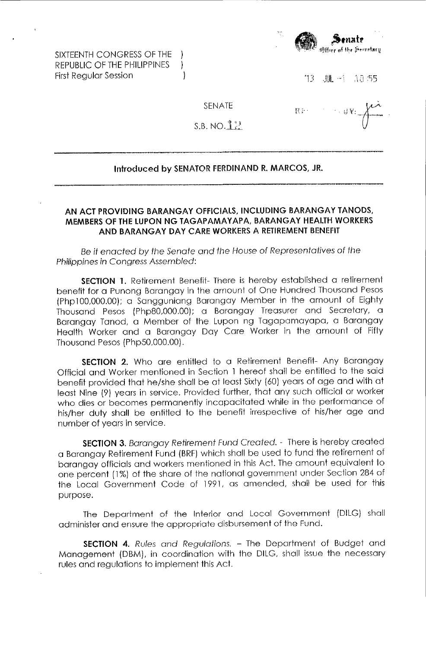SIXTEENTH CONGRESS OF THE REPUBLIC OF THE PHILIPPINES ) First Reqular Session (1996)



Hi"

 $13$   $M = 13.55$ 

 $+$   $\#$  Y<sub>1</sub>

SENATE

 $S.B. NO. 1<sup>3</sup>$ 

## Introduced by SENATOR FERDINAND R. MARCOS, JR.

## AN ACT PROVIDING BARANGAY OFFICIALS, INCLUDING BARANGAY TANODS, MEMBERS OF **THE** LUPON NG TAGAPAMAYAPA, BARAN GAY HEALTH WORKERS AND BARANGAY DAY CARE WORKERS A RETIREMENT BENEFIT

Be it enacted by the Senate and the House of Representatives of the Philippines in Congress Assembled:

SECTION 1. Retirement Benefit- There is hereby established a retirement benefit for a Punong Barangay in the amount of One Hundred Thousand Pesos (Php100,000.00): a Sangguniang Barangay Member in the amount of Eighty Thousand Pesos (Php80,000.00): a Barangay Treasurer and Secretary, a Barangay Tanod, a Member of the Lupon ng Tagapamayapa, a Barangay Health Worker and a Barangay Day Care Worker in the amount of Fifty Thousand Pesos (Php50,000.00).

SECTION 2. Who are entitled to a Retirement Benefit- Any Barangay Official and Worker mentioned in Section 1 hereof shall be entitled to the said benefit provided that he/she shall be at least Sixty (60) years of age and with at least Nine (9) years in service. Provided further, that any such official or worker who dies or becomes permanently incapacitated while in the performance of his/her duty shall be entitled to the benefit irrespective of his/her age and number of years in service.

SECTION 3. Barangay Retirement Fund Created. - There is hereby created a Barangay Retirement Fund (BRF) which shall be used to fund the retirement of barangay officials and workers mentioned in this Act. The amount equivalent to one percent (1%) of the share of the national govemment under Section 284 of the Local Government Code of 1991, as amended, shall be used for this purpose.

The Department of the Interior and Local Government (DILG) shall administer and ensure the appropriate disbursement of the Fund.

SECTION 4. Rules and Regulations. - The Department of Budget and Management (DBM), in coordination with the DILG, shall issue the necessary rules and regulations to implement this Act.